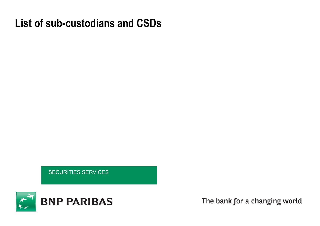# **List of sub-custodians and CSDs**

SECURITIES SERVICES



The bank for a changing world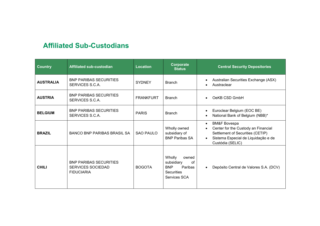## **Affiliated Sub-Custodians**

| <b>Country</b>   | Affiliated sub-custodian                                                       | <b>Location</b>  | Corporate<br><b>Status</b>                                                                               | <b>Central Security Depositories</b>                                                                                                                                       |
|------------------|--------------------------------------------------------------------------------|------------------|----------------------------------------------------------------------------------------------------------|----------------------------------------------------------------------------------------------------------------------------------------------------------------------------|
| <b>AUSTRALIA</b> | <b>BNP PARIBAS SECURITIES</b><br>SERVICES S.C.A.                               | <b>SYDNEY</b>    | <b>Branch</b>                                                                                            | Australian Securities Exchange (ASX)<br>Austraclear                                                                                                                        |
| <b>AUSTRIA</b>   | <b>BNP PARIBAS SECURITIES</b><br>SERVICES S.C.A.                               | <b>FRANKFURT</b> | <b>Branch</b>                                                                                            | OeKB CSD GmbH<br>$\bullet$                                                                                                                                                 |
| <b>BELGIUM</b>   | <b>BNP PARIBAS SECURITIES</b><br>SERVICES S.C.A.                               | <b>PARIS</b>     | <b>Branch</b>                                                                                            | Euroclear Belgium (EOC BE)<br>$\bullet$<br>National Bank of Belgium (NBB)*<br>$\bullet$                                                                                    |
| <b>BRAZIL</b>    | <b>BANCO BNP PARIBAS BRASIL SA</b>                                             | SAO PAULO        | Wholly owned<br>subsidiary of<br><b>BNP Paribas SA</b>                                                   | <b>BM&amp;F Bovespa</b><br>$\bullet$<br>Center for the Custody an Financial<br>Settlement of Securities (CETIP)<br>Sistema Especial de Liquidação e de<br>Custódia (SELIC) |
| <b>CHILI</b>     | <b>BNP PARIBAS SECURITIES</b><br><b>SERVICES SOCIEDAD</b><br><b>FIDUCIARIA</b> | <b>BOGOTA</b>    | Wholly<br>owned<br>subsidiary<br>of<br><b>BNP</b><br><b>Paribas</b><br><b>Securities</b><br>Services SCA | Depósito Central de Valores S.A. (DCV)<br>$\bullet$                                                                                                                        |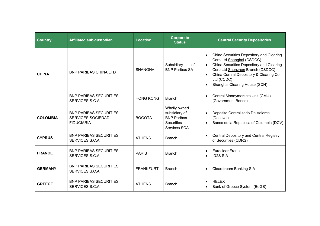| <b>Country</b>  | <b>Affiliated sub-custodian</b>                                                | <b>Location</b>  | Corporate<br><b>Status</b>                                                               | <b>Central Security Depositories</b>                                                                                                                                                                                                           |
|-----------------|--------------------------------------------------------------------------------|------------------|------------------------------------------------------------------------------------------|------------------------------------------------------------------------------------------------------------------------------------------------------------------------------------------------------------------------------------------------|
| <b>CHINA</b>    | <b>BNP PARIBAS CHINA LTD</b>                                                   | <b>SHANGHAI</b>  | Subsidiary<br>of<br><b>BNP Paribas SA</b>                                                | China Securities Depository and Clearing<br>Corp Ltd Shanghai (CSDCC)<br>China Securities Depository and Clearing<br>Corp Ltd Shenzhen Branch (CSDCC)<br>China Central Depository & Clearing Co<br>Ltd (CCDC)<br>Shanghai Clearing House (SCH) |
|                 | <b>BNP PARIBAS SECURITIES</b><br>SERVICES S.C.A                                | <b>HONG KONG</b> | <b>Branch</b>                                                                            | Central Moneymarkets Unit (CMU)<br>(Government Bonds)                                                                                                                                                                                          |
| <b>COLOMBIA</b> | <b>BNP PARIBAS SECURITIES</b><br><b>SERVICES SOCIEDAD</b><br><b>FIDUCIARIA</b> | <b>BOGOTA</b>    | Wholly owned<br>subsidiary of<br><b>BNP Paribas</b><br><b>Securities</b><br>Services SCA | Deposito Centralizado De Valores<br>(Deceval)<br>Banco de la Republica of Colombia (DCV)                                                                                                                                                       |
| <b>CYPRUS</b>   | <b>BNP PARIBAS SECURITIES</b><br>SERVICES S.C.A.                               | <b>ATHENS</b>    | <b>Branch</b>                                                                            | <b>Central Depository and Central Registry</b><br>of Securities (CDRS)                                                                                                                                                                         |
| <b>FRANCE</b>   | <b>BNP PARIBAS SECURITIES</b><br>SERVICES S.C.A.                               | <b>PARIS</b>     | <b>Branch</b>                                                                            | <b>Euroclear France</b><br><b>ID2S S.A</b>                                                                                                                                                                                                     |
| <b>GERMANY</b>  | <b>BNP PARIBAS SECURITIES</b><br>SERVICES S.C.A.                               | <b>FRANKFURT</b> | <b>Branch</b>                                                                            | <b>Clearstream Banking S.A</b>                                                                                                                                                                                                                 |
| <b>GREECE</b>   | <b>BNP PARIBAS SECURITIES</b><br>SERVICES S.C.A.                               | <b>ATHENS</b>    | <b>Branch</b>                                                                            | <b>HELEX</b><br>Bank of Greece System (BoGS)                                                                                                                                                                                                   |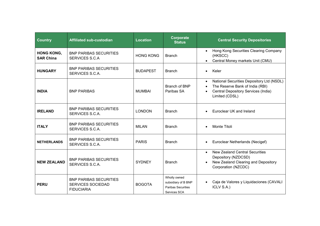| <b>Country</b>                        | <b>Affiliated sub-custodian</b>                                                | <b>Location</b>  | Corporate<br><b>Status</b>                                                | <b>Central Security Depositories</b>                                                                                                               |
|---------------------------------------|--------------------------------------------------------------------------------|------------------|---------------------------------------------------------------------------|----------------------------------------------------------------------------------------------------------------------------------------------------|
| <b>HONG KONG,</b><br><b>SAR China</b> | <b>BNP PARIBAS SECURITIES</b><br>SERVICES S.C.A                                | <b>HONG KONG</b> | <b>Branch</b>                                                             | Hong Kong Securities Clearing Company<br>$\bullet$<br>(HKSCC)<br>Central Money markets Unit (CMU)                                                  |
| <b>HUNGARY</b>                        | <b>BNP PARIBAS SECURITIES</b><br>SERVICES S.C.A.                               | <b>BUDAPEST</b>  | <b>Branch</b>                                                             | Keler                                                                                                                                              |
| <b>INDIA</b>                          | <b>BNP PARIBAS</b>                                                             | <b>MUMBAI</b>    | Branch of BNP<br>Paribas SA                                               | National Securities Depository Ltd (NSDL)<br>$\bullet$<br>The Reserve Bank of India (RBI)<br>Central Depository Services (India)<br>Limited (CDSL) |
| <b>IRELAND</b>                        | <b>BNP PARIBAS SECURITIES</b><br>SERVICES S.C.A.                               | <b>LONDON</b>    | <b>Branch</b>                                                             | Euroclear UK and Ireland                                                                                                                           |
| <b>ITALY</b>                          | <b>BNP PARIBAS SECURITIES</b><br>SERVICES S.C.A.                               | <b>MILAN</b>     | <b>Branch</b>                                                             | Monte Titoli                                                                                                                                       |
| <b>NETHERLANDS</b>                    | <b>BNP PARIBAS SECURITIES</b><br>SERVICES S.C.A.                               | <b>PARIS</b>     | <b>Branch</b>                                                             | Euroclear Netherlands (Necigef)<br>$\bullet$                                                                                                       |
| <b>NEW ZEALAND</b>                    | <b>BNP PARIBAS SECURITIES</b><br>SERVICES S.C.A.                               | <b>SYDNEY</b>    | <b>Branch</b>                                                             | <b>New Zealand Central Securities</b><br>$\bullet$<br>Depository (NZDCSD)<br>New Zealand Clearing and Depository<br>Corporation (NZCDC)            |
| <b>PERU</b>                           | <b>BNP PARIBAS SECURITIES</b><br><b>SERVICES SOCIEDAD</b><br><b>FIDUCIARIA</b> | <b>BOGOTA</b>    | Wholly owned<br>subsidiary of B BNP<br>Paribas Securities<br>Services SCA | Caja de Valores y Liquidaciones (CAVALI<br>ICLV S.A.)                                                                                              |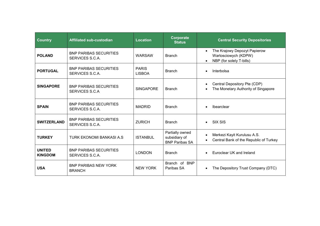| <b>Country</b>                  | <b>Affiliated sub-custodian</b>                  | <b>Location</b>               | Corporate<br><b>Status</b>                                | <b>Central Security Depositories</b>                                                          |
|---------------------------------|--------------------------------------------------|-------------------------------|-----------------------------------------------------------|-----------------------------------------------------------------------------------------------|
| <b>POLAND</b>                   | <b>BNP PARIBAS SECURITIES</b><br>SERVICES S.C.A. | <b>WARSAW</b>                 | <b>Branch</b>                                             | The Krajowy Depozyt Papierow<br>$\bullet$<br>Wartosciowych (KDPW)<br>NBP (for solely T-bills) |
| <b>PORTUGAL</b>                 | <b>BNP PARIBAS SECURITIES</b><br>SERVICES S.C.A. | <b>PARIS</b><br><b>LISBOA</b> | <b>Branch</b>                                             | Interbolsa                                                                                    |
| <b>SINGAPORE</b>                | <b>BNP PARIBAS SECURITIES</b><br>SERVICES S.C.A  | <b>SINGAPORE</b>              | <b>Branch</b>                                             | Central Depository Pte (CDP)<br>The Monetary Authority of Singapore                           |
| <b>SPAIN</b>                    | <b>BNP PARIBAS SECURITIES</b><br>SERVICES S.C.A. | <b>MADRID</b>                 | <b>Branch</b>                                             | Ibearclear                                                                                    |
| <b>SWITZERLAND</b>              | <b>BNP PARIBAS SECURITIES</b><br>SERVICES S.C.A. | <b>ZURICH</b>                 | <b>Branch</b>                                             | <b>SIX SIS</b><br>$\bullet$                                                                   |
| <b>TURKEY</b>                   | TURK EKONOMI BANKASI A.S                         | <b>ISTANBUL</b>               | Partially owned<br>subsidiary of<br><b>BNP Paribas SA</b> | Merkezi Kayit Kurulusu A.S.<br>$\bullet$<br>Central Bank of the Republic of Turkey            |
| <b>UNITED</b><br><b>KINGDOM</b> | <b>BNP PARIBAS SECURITIES</b><br>SERVICES S.C.A. | <b>LONDON</b>                 | <b>Branch</b>                                             | Euroclear UK and Ireland                                                                      |
| <b>USA</b>                      | <b>BNP PARIBAS NEW YORK</b><br><b>BRANCH</b>     | <b>NEW YORK</b>               | Branch of BNP<br>Paribas SA                               | The Depository Trust Company (DTC)                                                            |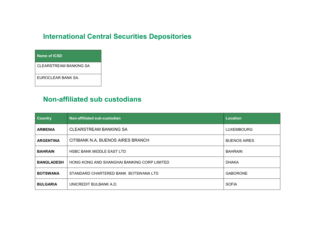## **International Central Securities Depositories**

### **Name of ICSD**

CLEARSTREAM BANKING SA

EUROCLEAR BANK SA.

## **Non-affiliated sub custodians**

| <b>Country</b>    | Non-affiliated sub-custodian                | <b>Location</b>     |
|-------------------|---------------------------------------------|---------------------|
| <b>ARMENIA</b>    | <b>CLEARSTREAM BANKING SA</b>               | <b>LUXEMBOURG</b>   |
| <b>ARGENTINA</b>  | CITIBANK N.A, BUENOS AIRES BRANCH           | <b>BUENOS AIRES</b> |
| <b>BAHRAIN</b>    | <b>HSBC BANK MIDDLE EAST LTD</b>            | <b>BAHRAIN</b>      |
| <b>BANGLADESH</b> | HONG KONG AND SHANGHAI BANKING CORP LIMITED | <b>DHAKA</b>        |
| <b>BOTSWANA</b>   | STANDARD CHARTERED BANK BOTSWANA LTD        | <b>GABORONE</b>     |
| <b>BULGARIA</b>   | UNICREDIT BULBANK A.D.                      | <b>SOFIA</b>        |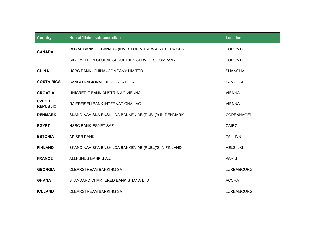| <b>Country</b>                  | Non-affiliated sub-custodian                         | <b>Location</b>   |
|---------------------------------|------------------------------------------------------|-------------------|
| <b>CANADA</b>                   | ROYAL BANK OF CANADA (INVESTOR & TREASURY SERVICES)  | <b>TORONTO</b>    |
|                                 | CIBC MELLON GLOBAL SECURITIES SERVICES COMPANY       | <b>TORONTO</b>    |
| <b>CHINA</b>                    | HSBC BANK (CHINA) COMPANY LIMITED                    | <b>SHANGHAI</b>   |
| <b>COSTA RICA</b>               | BANCO NACIONAL DE COSTA RICA                         | SAN JOSÉ          |
| <b>CROATIA</b>                  | UNICREDIT BANK AUSTRIA AG VIENNA                     | <b>VIENNA</b>     |
| <b>CZECH</b><br><b>REPUBLIC</b> | RAIFFEISEN BANK INTERNATIONAL AG                     | <b>VIENNA</b>     |
| <b>DENMARK</b>                  | SKANDINAVISKA ENSKILDA BANKEN AB (PUBL)'s IN DENMARK | <b>COPENHAGEN</b> |
| <b>EGYPT</b>                    | <b>HSBC BANK EGYPT SAE</b>                           | <b>CAIRO</b>      |
| <b>ESTONIA</b>                  | AS SEB PANK                                          | <b>TALLINN</b>    |
| <b>FINLAND</b>                  | SKANDINAVISKA ENSKILDA BANKEN AB (PUBL)'S IN FINLAND | <b>HELSINKI</b>   |
| <b>FRANCE</b>                   | <b>ALLFUNDS BANK S.A.U</b>                           | <b>PARIS</b>      |
| <b>GEORGIA</b>                  | <b>CLEARSTREAM BANKING SA</b>                        | <b>LUXEMBOURG</b> |
| <b>GHANA</b>                    | STANDARD CHARTERED BANK GHANA LTD                    | <b>ACCRA</b>      |
| <b>ICELAND</b>                  | <b>CLEARSTREAM BANKING SA</b>                        | <b>LUXEMBOURG</b> |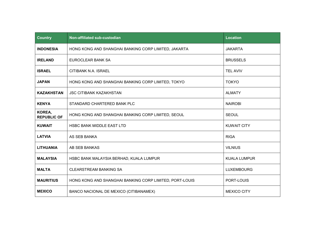| <b>Country</b>               | <b>Non-affiliated sub-custodian</b>                     | <b>Location</b>     |
|------------------------------|---------------------------------------------------------|---------------------|
| <b>INDONESIA</b>             | HONG KONG AND SHANGHAI BANKING CORP LIMITED, JAKARTA    | <b>JAKARTA</b>      |
| <b>IRELAND</b>               | EUROCLEAR BANK SA                                       | <b>BRUSSELS</b>     |
| <b>ISRAEL</b>                | CITIBANK N.A. ISRAEL                                    | <b>TEL AVIV</b>     |
| <b>JAPAN</b>                 | HONG KONG AND SHANGHAI BANKING CORP LIMITED, TOKYO      | <b>TOKYO</b>        |
| <b>KAZAKHSTAN</b>            | <b>JSC CITIBANK KAZAKHSTAN</b>                          | <b>ALMATY</b>       |
| <b>KENYA</b>                 | STANDARD CHARTERED BANK PLC                             | <b>NAIROBI</b>      |
| KOREA,<br><b>REPUBLIC OF</b> | HONG KONG AND SHANGHAI BANKING CORP LIMITED, SEOUL      | <b>SEOUL</b>        |
| <b>KUWAIT</b>                | <b>HSBC BANK MIDDLE EAST LTD</b>                        | <b>KUWAIT CITY</b>  |
| <b>LATVIA</b>                | AS SEB BANKA                                            | <b>RIGA</b>         |
| <b>LITHUANIA</b>             | AB SEB BANKAS                                           | <b>VILNIUS</b>      |
| <b>MALAYSIA</b>              | HSBC BANK MALAYSIA BERHAD, KUALA LUMPUR                 | <b>KUALA LUMPUR</b> |
| <b>MALTA</b>                 | <b>CLEARSTREAM BANKING SA</b>                           | <b>LUXEMBOURG</b>   |
| <b>MAURITIUS</b>             | HONG KONG AND SHANGHAI BANKING CORP LIMITED, PORT-LOUIS | PORT-LOUIS          |
| <b>MEXICO</b>                | BANCO NACIONAL DE MEXICO (CITIBANAMEX)                  | <b>MEXICO CITY</b>  |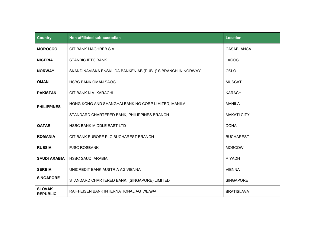| <b>Country</b>                   | Non-affiliated sub-custodian                                | <b>Location</b>    |
|----------------------------------|-------------------------------------------------------------|--------------------|
| <b>MOROCCO</b>                   | CITIBANK MAGHREB S.A                                        | CASABLANCA         |
| <b>NIGERIA</b>                   | <b>STANBIC IBTC BANK</b>                                    | <b>LAGOS</b>       |
| <b>NORWAY</b>                    | SKANDINAVISKA ENSKILDA BANKEN AB (PUBL)' S BRANCH IN NORWAY | <b>OSLO</b>        |
| <b>OMAN</b>                      | <b>HSBC BANK OMAN SAOG</b>                                  | <b>MUSCAT</b>      |
| <b>PAKISTAN</b>                  | CITIBANK N.A. KARACHI                                       | <b>KARACHI</b>     |
| <b>PHILIPPINES</b>               | HONG KONG AND SHANGHAI BANKING CORP LIMITED, MANILA         | <b>MANILA</b>      |
|                                  | STANDARD CHARTERED BANK, PHILIPPINES BRANCH                 | <b>MAKATI CITY</b> |
| <b>QATAR</b>                     | <b>HSBC BANK MIDDLE EAST LTD</b>                            | <b>DOHA</b>        |
| <b>ROMANIA</b>                   | CITIBANK EUROPE PLC BUCHAREST BRANCH                        | <b>BUCHAREST</b>   |
| <b>RUSSIA</b>                    | <b>PJSC ROSBANK</b>                                         | <b>MOSCOW</b>      |
| <b>SAUDI ARABIA</b>              | <b>HSBC SAUDI ARABIA</b>                                    | <b>RIYADH</b>      |
| <b>SERBIA</b>                    | UNICREDIT BANK AUSTRIA AG VIENNA                            | <b>VIENNA</b>      |
| <b>SINGAPORE</b>                 | STANDARD CHARTERED BANK, (SINGAPORE) LIMITED                | <b>SINGAPORE</b>   |
| <b>SLOVAK</b><br><b>REPUBLIC</b> | RAIFFEISEN BANK INTERNATIONAL AG VIENNA                     | <b>BRATISLAVA</b>  |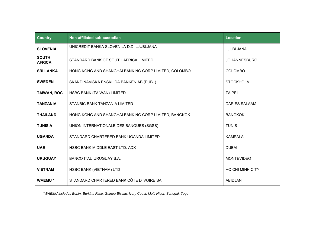| <b>Country</b>                | Non-affiliated sub-custodian                         | <b>Location</b>         |
|-------------------------------|------------------------------------------------------|-------------------------|
| <b>SLOVENIA</b>               | UNICREDIT BANKA SLOVENIJA D.D. LJUBLJANA             | LJUBLJANA               |
| <b>SOUTH</b><br><b>AFRICA</b> | STANDARD BANK OF SOUTH AFRICA LIMITED                | <b>JOHANNESBURG</b>     |
| <b>SRI LANKA</b>              | HONG KONG AND SHANGHAI BANKING CORP LIMITED, COLOMBO | <b>COLOMBO</b>          |
| <b>SWEDEN</b>                 | SKANDINAVISKA ENSKILDA BANKEN AB (PUBL)              | <b>STOCKHOLM</b>        |
| <b>TAIWAN, ROC</b>            | HSBC BANK (TAIWAN) LIMITED                           | <b>TAIPEI</b>           |
| <b>TANZANIA</b>               | STANBIC BANK TANZANIA LIMITED                        | DAR ES SALAAM           |
| <b>THAILAND</b>               | HONG KONG AND SHANGHAI BANKING CORP LIMITED, BANGKOK | <b>BANGKOK</b>          |
| <b>TUNISIA</b>                | UNION INTERNATIONALE DES BANQUES (SGSS)              | <b>TUNIS</b>            |
| <b>UGANDA</b>                 | STANDARD CHARTERED BANK UGANDA LIMITED               | <b>KAMPALA</b>          |
| <b>UAE</b>                    | HSBC BANK MIDDLE EAST LTD. ADX                       | <b>DUBAI</b>            |
| <b>URUGUAY</b>                | <b>BANCO ITAU URUGUAY S.A.</b>                       | <b>MONTEVIDEO</b>       |
| <b>VIETNAM</b>                | <b>HSBC BANK (VIETNAM) LTD</b>                       | <b>HO CHI MINH CITY</b> |
| <b>WAEMU*</b>                 | STANDARD CHARTERED BANK CÔTE D'IVOIRE SA             | <b>ABIDJAN</b>          |

*\*WAEMU includes Benin, Burkina Faso, Guinea Bissau, Ivory Coast, Mali, Niger, Senegal, Togo*